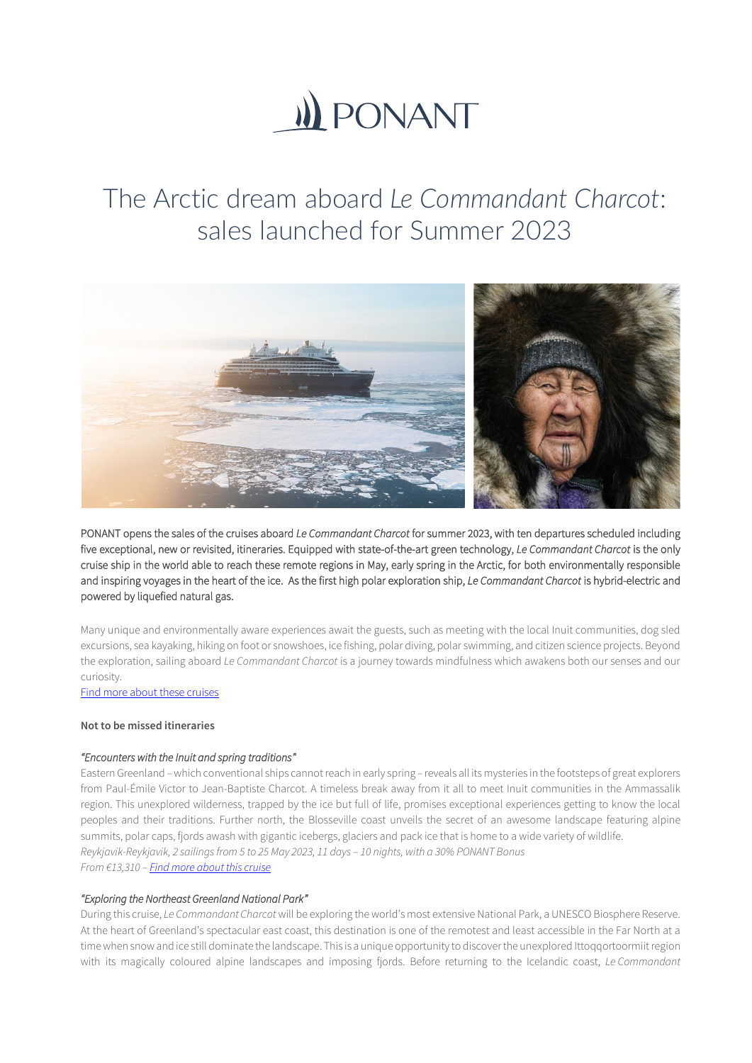# **(i) PONANT**

# The Arctic dream aboard *Le Commandant Charcot*: sales launched for Summer 2023



PONANT opens the sales of the cruises aboard *Le Commandant Charcot* for summer 2023, with ten departures scheduled including five exceptional, new or revisited, itineraries. Equipped with state-of-the-art green technology, *Le Commandant Charcot* is the only cruise ship in the world able to reach these remote regions in May, early spring in the Arctic, for both environmentally responsible and inspiring voyages in the heart of the ice. As the first high polar exploration ship, *Le Commandant Charcot* is hybrid-electric and powered by liquefied natural gas.

Many unique and environmentally aware experiences await the guests, such as meeting with the local Inuit communities, dog sled excursions, sea kayaking, hiking on foot or snowshoes, ice fishing, polar diving, polar swimming, and citizen science projects. Beyond the exploration, sailing aboard *Le Commandant Charcot* is a journey towards mindfulness which awakens both our senses and our curiosity.

[Find more about these cruises](https://en.ponant.com/destinations/the-arctic?periode%5B%5D=2023_05&periode%5B%5D=2023_06&periode%5B%5D=2023_07&periode%5B%5D=2023_08&periode%5B%5D=2023_09&cruise_name_ship%5B%5D=POLAR_EXPLORER_CC) 

### **Not to be missed itineraries**

# *"Encounters with the Inuit and spring traditions"*

Eastern Greenland *–*which conventional ships cannot reach in early spring *–* reveals all its mysteries in the footsteps of great explorers from Paul-Émile Victor to Jean-Baptiste Charcot. A timeless break away from it all to meet Inuit communities in the Ammassalik region. This unexplored wilderness, trapped by the ice but full of life, promises exceptional experiences getting to know the local peoples and their traditions. Further north, the Blosseville coast unveils the secret of an awesome landscape featuring alpine summits, polar caps, fjords awash with gigantic icebergs, glaciers and pack ice that is home to a wide variety of wildlife. *Reykjavik-Reykjavik, 2 sailings from 5 to 25 May 2023, 11 days – 10 nights, with a 30% PONANT Bonus From €13,310 – [Find more about this cruise](https://en.ponant.com/the-arctic-encounters-with-the-inuit-and-spring-traditions-cc050523-9)*

# *"Exploring the Northeast Greenland National Park"*

During this cruise, *Le Commandant Charcot* will be exploring the world's most extensive National Park, a UNESCO Biosphere Reserve. At the heart of Greenland's spectacular east coast, this destination is one of the remotest and least accessible in the Far North at a time when snow and ice still dominate the landscape. This is a unique opportunity to discover the unexplored Ittoqqortoormiit region with its magically coloured alpine landscapes and imposing fjords. Before returning to the Icelandic coast, *Le Commandant*